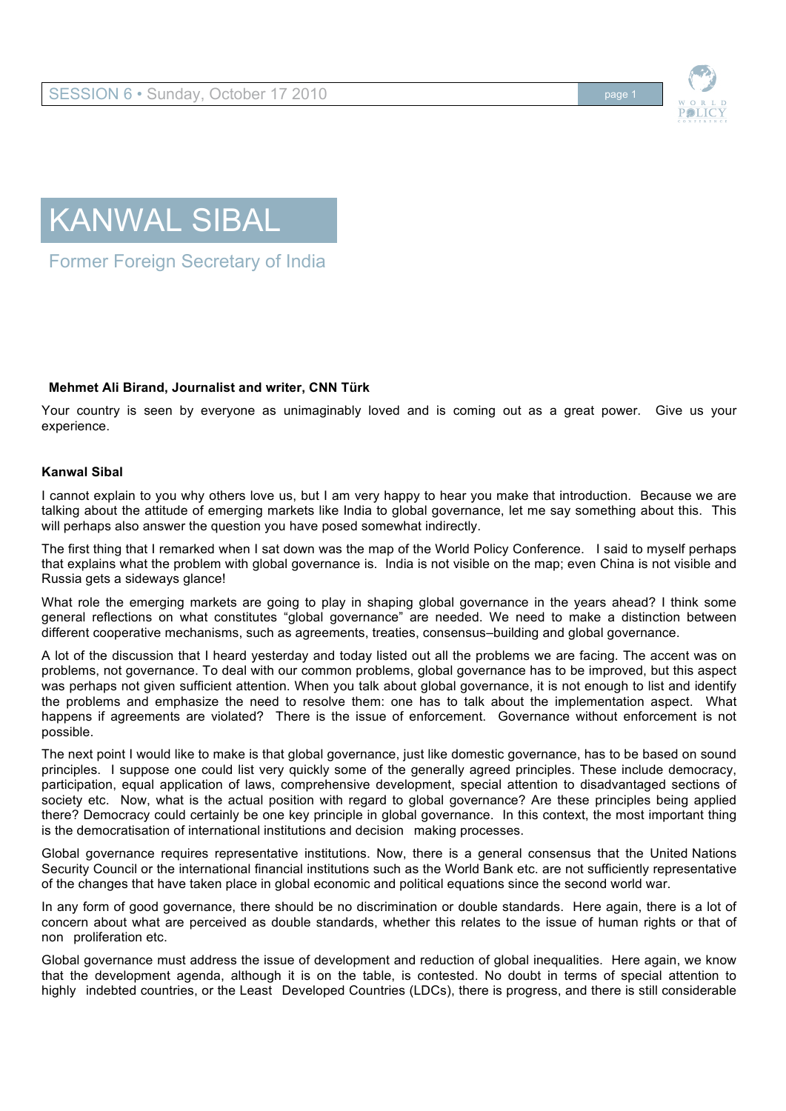





Former Foreign Secretary of India

## **Mehmet Ali Birand, Journalist and writer, CNN Türk**

Your country is seen by everyone as unimaginably loved and is coming out as a great power. Give us your experience.

## **Kanwal Sibal**

I cannot explain to you why others love us, but I am very happy to hear you make that introduction. Because we are talking about the attitude of emerging markets like India to global governance, let me say something about this. This will perhaps also answer the question you have posed somewhat indirectly.

The first thing that I remarked when I sat down was the map of the World Policy Conference. I said to myself perhaps that explains what the problem with global governance is. India is not visible on the map; even China is not visible and Russia gets a sideways glance!

What role the emerging markets are going to play in shaping global governance in the years ahead? I think some general reflections on what constitutes "global governance" are needed. We need to make a distinction between different cooperative mechanisms, such as agreements, treaties, consensus–building and global governance.

A lot of the discussion that I heard yesterday and today listed out all the problems we are facing. The accent was on problems, not governance. To deal with our common problems, global governance has to be improved, but this aspect was perhaps not given sufficient attention. When you talk about global governance, it is not enough to list and identify the problems and emphasize the need to resolve them: one has to talk about the implementation aspect. What happens if agreements are violated? There is the issue of enforcement. Governance without enforcement is not possible.

The next point I would like to make is that global governance, just like domestic governance, has to be based on sound principles. I suppose one could list very quickly some of the generally agreed principles. These include democracy, participation, equal application of laws, comprehensive development, special attention to disadvantaged sections of society etc. Now, what is the actual position with regard to global governance? Are these principles being applied there? Democracy could certainly be one key principle in global governance. In this context, the most important thing is the democratisation of international institutions and decision making processes.

Global governance requires representative institutions. Now, there is a general consensus that the United Nations Security Council or the international financial institutions such as the World Bank etc. are not sufficiently representative of the changes that have taken place in global economic and political equations since the second world war.

In any form of good governance, there should be no discrimination or double standards. Here again, there is a lot of concern about what are perceived as double standards, whether this relates to the issue of human rights or that of non proliferation etc.

Global governance must address the issue of development and reduction of global inequalities. Here again, we know that the development agenda, although it is on the table, is contested. No doubt in terms of special attention to highly indebted countries, or the Least Developed Countries (LDCs), there is progress, and there is still considerable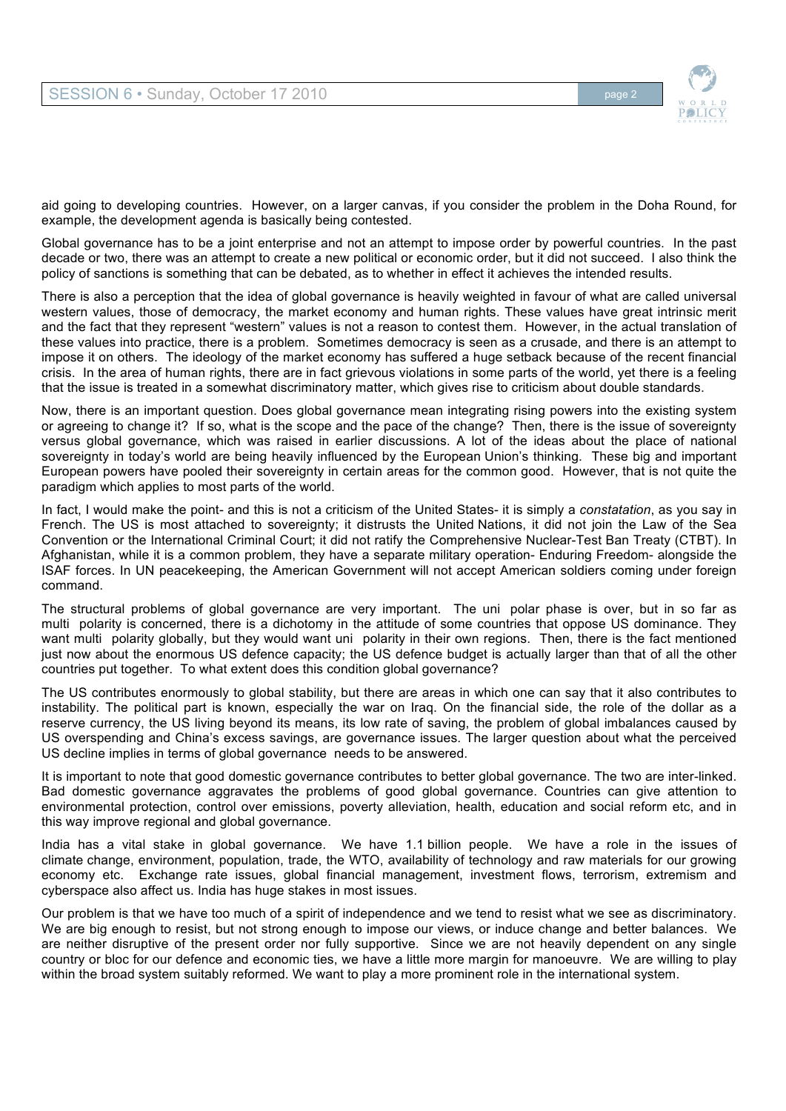

aid going to developing countries. However, on a larger canvas, if you consider the problem in the Doha Round, for example, the development agenda is basically being contested.

Global governance has to be a joint enterprise and not an attempt to impose order by powerful countries. In the past decade or two, there was an attempt to create a new political or economic order, but it did not succeed. I also think the policy of sanctions is something that can be debated, as to whether in effect it achieves the intended results.

There is also a perception that the idea of global governance is heavily weighted in favour of what are called universal western values, those of democracy, the market economy and human rights. These values have great intrinsic merit and the fact that they represent "western" values is not a reason to contest them. However, in the actual translation of these values into practice, there is a problem. Sometimes democracy is seen as a crusade, and there is an attempt to impose it on others. The ideology of the market economy has suffered a huge setback because of the recent financial crisis. In the area of human rights, there are in fact grievous violations in some parts of the world, yet there is a feeling that the issue is treated in a somewhat discriminatory matter, which gives rise to criticism about double standards.

Now, there is an important question. Does global governance mean integrating rising powers into the existing system or agreeing to change it? If so, what is the scope and the pace of the change? Then, there is the issue of sovereignty versus global governance, which was raised in earlier discussions. A lot of the ideas about the place of national sovereignty in today's world are being heavily influenced by the European Union's thinking. These big and important European powers have pooled their sovereignty in certain areas for the common good. However, that is not quite the paradigm which applies to most parts of the world.

In fact, I would make the point- and this is not a criticism of the United States- it is simply a *constatation*, as you say in French. The US is most attached to sovereignty; it distrusts the United Nations, it did not join the Law of the Sea Convention or the International Criminal Court; it did not ratify the Comprehensive Nuclear-Test Ban Treaty (CTBT). In Afghanistan, while it is a common problem, they have a separate military operation- Enduring Freedom- alongside the ISAF forces. In UN peacekeeping, the American Government will not accept American soldiers coming under foreign command.

The structural problems of global governance are very important. The uni polar phase is over, but in so far as multi polarity is concerned, there is a dichotomy in the attitude of some countries that oppose US dominance. They want multi polarity globally, but they would want uni polarity in their own regions. Then, there is the fact mentioned just now about the enormous US defence capacity; the US defence budget is actually larger than that of all the other countries put together. To what extent does this condition global governance?

The US contributes enormously to global stability, but there are areas in which one can say that it also contributes to instability. The political part is known, especially the war on Iraq. On the financial side, the role of the dollar as a reserve currency, the US living beyond its means, its low rate of saving, the problem of global imbalances caused by US overspending and China's excess savings, are governance issues. The larger question about what the perceived US decline implies in terms of global governance needs to be answered.

It is important to note that good domestic governance contributes to better global governance. The two are inter-linked. Bad domestic governance aggravates the problems of good global governance. Countries can give attention to environmental protection, control over emissions, poverty alleviation, health, education and social reform etc, and in this way improve regional and global governance.

India has a vital stake in global governance. We have 1.1 billion people. We have a role in the issues of climate change, environment, population, trade, the WTO, availability of technology and raw materials for our growing economy etc. Exchange rate issues, global financial management, investment flows, terrorism, extremism and cyberspace also affect us. India has huge stakes in most issues.

Our problem is that we have too much of a spirit of independence and we tend to resist what we see as discriminatory. We are big enough to resist, but not strong enough to impose our views, or induce change and better balances. We are neither disruptive of the present order nor fully supportive. Since we are not heavily dependent on any single country or bloc for our defence and economic ties, we have a little more margin for manoeuvre. We are willing to play within the broad system suitably reformed. We want to play a more prominent role in the international system.